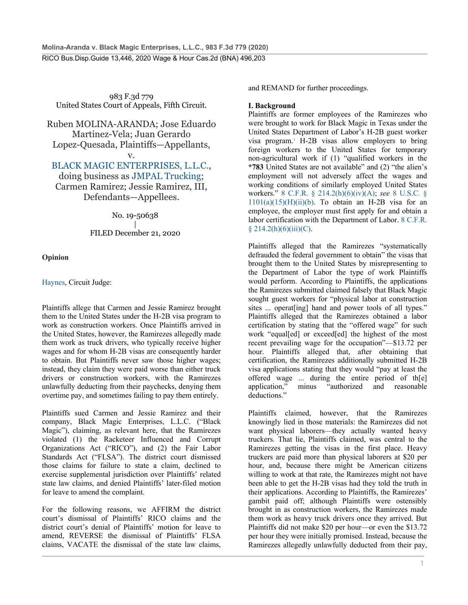983 F.3d 779 United States Court of Appeals, Fifth Circuit.

Ruben MOLINA-ARANDA; Jose Eduardo Martinez-Vela; Juan Gerardo Lopez-Quesada, Plaintiffs—Appellants, v.

BLACK MAGIC ENTERPRISES, L.L.C.,

doing business as JMPAL Trucking; Carmen Ramirez; Jessie Ramirez, III, Defendants—Appellees.

No. 19-50638

| FILED December 21, 2020

**Opinion**

Haynes, Circuit Judge:

Plaintiffs allege that Carmen and Jessie Ramirez brought them to the United States under the H-2B visa program to work as construction workers. Once Plaintiffs arrived in the United States, however, the Ramirezes allegedly made them work as truck drivers, who typically receive higher wages and for whom H-2B visas are consequently harder to obtain. But Plaintiffs never saw those higher wages; instead, they claim they were paid worse than either truck drivers or construction workers, with the Ramirezes unlawfully deducting from their paychecks, denying them overtime pay, and sometimes failing to pay them entirely.

Plaintiffs sued Carmen and Jessie Ramirez and their company, Black Magic Enterprises, L.L.C. ("Black Magic"), claiming, as relevant here, that the Ramirezes violated (1) the Racketeer Influenced and Corrupt Organizations Act ("RICO"), and (2) the Fair Labor Standards Act ("FLSA"). The district court dismissed those claims for failure to state a claim, declined to exercise supplemental jurisdiction over Plaintiffs' related state law claims, and denied Plaintiffs' later-filed motion for leave to amend the complaint.

For the following reasons, we AFFIRM the district court's dismissal of Plaintiffs' RICO claims and the district court's denial of Plaintiffs' motion for leave to amend, REVERSE the dismissal of Plaintiffs' FLSA claims, VACATE the dismissal of the state law claims,

and REMAND for further proceedings.

### **I. Background**

Plaintiffs are former employees of the Ramirezes who were brought to work for Black Magic in Texas under the United States Department of Labor's H-2B guest worker visa program.1 H-2B visas allow employers to bring foreign workers to the United States for temporary non-agricultural work if (1) "qualified workers in the **\*783** United States are not available" and (2) "the alien's employment will not adversely affect the wages and working conditions of similarly employed United States workers." 8 C.F.R. § 214.2(h)(6)(iv)(A); *see* 8 U.S.C. §  $1101(a)(15)(H)(ii)(b)$ . To obtain an H-2B visa for an employee, the employer must first apply for and obtain a labor certification with the Department of Labor. 8 C.F.R.  $§$  214.2(h)(6)(iii)(C).

Plaintiffs alleged that the Ramirezes "systematically defrauded the federal government to obtain" the visas that brought them to the United States by misrepresenting to the Department of Labor the type of work Plaintiffs would perform. According to Plaintiffs, the applications the Ramirezes submitted claimed falsely that Black Magic sought guest workers for "physical labor at construction sites ... operat[ing] hand and power tools of all types." Plaintiffs alleged that the Ramirezes obtained a labor certification by stating that the "offered wage" for such work "equal[ed] or exceed[ed] the highest of the most recent prevailing wage for the occupation"—\$13.72 per hour. Plaintiffs alleged that, after obtaining that certification, the Ramirezes additionally submitted H-2B visa applications stating that they would "pay at least the offered wage ... during the entire period of th[e] application," minus "authorized and reasonable deductions."

Plaintiffs claimed, however, that the Ramirezes knowingly lied in those materials: the Ramirezes did not want physical laborers—they actually wanted heavy truckers. That lie, Plaintiffs claimed, was central to the Ramirezes getting the visas in the first place. Heavy truckers are paid more than physical laborers at \$20 per hour, and, because there might be American citizens willing to work at that rate, the Ramirezes might not have been able to get the H-2B visas had they told the truth in their applications. According to Plaintiffs, the Ramirezes' gambit paid off; although Plaintiffs were ostensibly brought in as construction workers, the Ramirezes made them work as heavy truck drivers once they arrived. But Plaintiffs did not make \$20 per hour—or even the \$13.72 per hour they were initially promised. Instead, because the Ramirezes allegedly unlawfully deducted from their pay,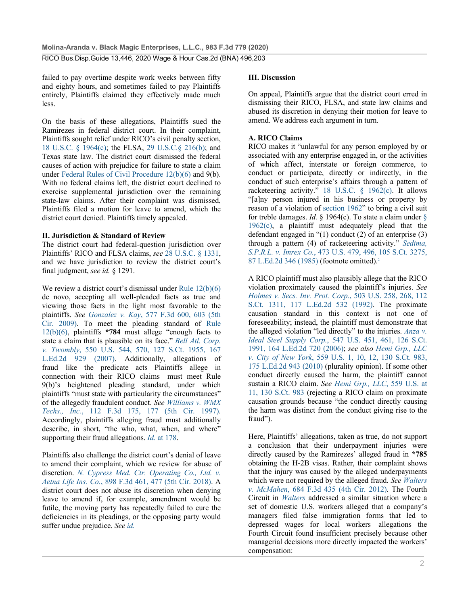failed to pay overtime despite work weeks between fifty and eighty hours, and sometimes failed to pay Plaintiffs entirely, Plaintiffs claimed they effectively made much less.

On the basis of these allegations, Plaintiffs sued the Ramirezes in federal district court. In their complaint, Plaintiffs sought relief under RICO's civil penalty section, 18 U.S.C. § 1964(c); the FLSA, 29 U.S.C.§ 216(b); and Texas state law. The district court dismissed the federal causes of action with prejudice for failure to state a claim under Federal Rules of Civil Procedure 12(b)(6) and 9(b). With no federal claims left, the district court declined to exercise supplemental jurisdiction over the remaining state-law claims. After their complaint was dismissed, Plaintiffs filed a motion for leave to amend, which the district court denied. Plaintiffs timely appealed.

### **II. Jurisdiction & Standard of Review**

The district court had federal-question jurisdiction over Plaintiffs' RICO and FLSA claims, *see* 28 U.S.C. § 1331, and we have jurisdiction to review the district court's final judgment, *see id.* § 1291.

We review a district court's dismissal under Rule 12(b)(6) de novo, accepting all well-pleaded facts as true and viewing those facts in the light most favorable to the plaintiffs. *See Gonzalez v. Kay*, 577 F.3d 600, 603 (5th Cir. 2009). To meet the pleading standard of Rule 12(b)(6), plaintiffs **\*784** must allege "enough facts to state a claim that is plausible on its face." *Bell Atl. Corp. v. Twombly*, 550 U.S. 544, 570, 127 S.Ct. 1955, 167 L.Ed.2d 929 (2007). Additionally, allegations of fraud—like the predicate acts Plaintiffs allege in connection with their RICO claims—must meet Rule 9(b)'s heightened pleading standard, under which plaintiffs "must state with particularity the circumstances" of the allegedly fraudulent conduct. *See Williams v. WMX Techs., Inc.*, 112 F.3d 175, 177 (5th Cir. 1997). Accordingly, plaintiffs alleging fraud must additionally describe, in short, "the who, what, when, and where" supporting their fraud allegations. *Id.* at 178.

Plaintiffs also challenge the district court's denial of leave to amend their complaint, which we review for abuse of discretion. *N. Cypress Med. Ctr. Operating Co., Ltd. v. Aetna Life Ins. Co.*, 898 F.3d 461, 477 (5th Cir. 2018). A district court does not abuse its discretion when denying leave to amend if, for example, amendment would be futile, the moving party has repeatedly failed to cure the deficiencies in its pleadings, or the opposing party would suffer undue prejudice. *See id.*

### **III. Discussion**

On appeal, Plaintiffs argue that the district court erred in dismissing their RICO, FLSA, and state law claims and abused its discretion in denying their motion for leave to amend. We address each argument in turn.

### **A. RICO Claims**

RICO makes it "unlawful for any person employed by or associated with any enterprise engaged in, or the activities of which affect, interstate or foreign commerce, to conduct or participate, directly or indirectly, in the conduct of such enterprise's affairs through a pattern of racketeering activity." 18 U.S.C. § 1962(c). It allows "[a]ny person injured in his business or property by reason of a violation of section 1962" to bring a civil suit for treble damages. *Id.* § 1964(c). To state a claim under §  $1962(c)$ , a plaintiff must adequately plead that the defendant engaged in "(1) conduct (2) of an enterprise (3) through a pattern (4) of racketeering activity." *Sedima, S.P.R.L. v. Imrex Co.*, 473 U.S. 479, 496, 105 S.Ct. 3275, 87 L.Ed.2d 346 (1985) (footnote omitted).2

A RICO plaintiff must also plausibly allege that the RICO violation proximately caused the plaintiff's injuries. *See Holmes v. Secs. Inv. Prot. Corp.*, 503 U.S. 258, 268, 112 S.Ct. 1311, 117 L.Ed.2d 532 (1992). The proximate causation standard in this context is not one of foreseeability; instead, the plaintiff must demonstrate that the alleged violation "led directly" to the injuries. *Anza v. Ideal Steel Supply Corp.*, 547 U.S. 451, 461, 126 S.Ct. 1991, 164 L.Ed.2d 720 (2006); *see also Hemi Grp., LLC v. City of New York*, 559 U.S. 1, 10, 12, 130 S.Ct. 983, 175 L.Ed.2d 943 (2010) (plurality opinion). If some other conduct directly caused the harm, the plaintiff cannot sustain a RICO claim. *See Hemi Grp., LLC*, 559 U.S. at 11, 130 S.Ct. 983 (rejecting a RICO claim on proximate causation grounds because "the conduct directly causing the harm was distinct from the conduct giving rise to the fraud").

Here, Plaintiffs' allegations, taken as true, do not support a conclusion that their underpayment injuries were directly caused by the Ramirezes' alleged fraud in **\*785** obtaining the H-2B visas. Rather, their complaint shows that the injury was caused by the alleged underpayments which were not required by the alleged fraud. *See Walters v. McMahen*, 684 F.3d 435 (4th Cir. 2012). The Fourth Circuit in *Walters* addressed a similar situation where a set of domestic U.S. workers alleged that a company's managers filed false immigration forms that led to depressed wages for local workers—allegations the Fourth Circuit found insufficient precisely because other managerial decisions more directly impacted the workers' compensation: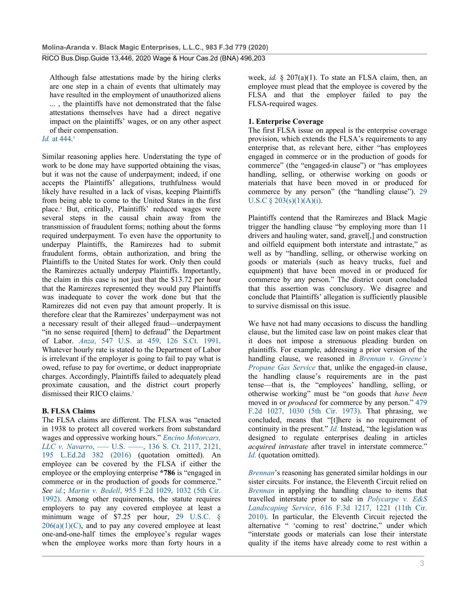Although false attestations made by the hiring clerks are one step in a chain of events that ultimately may have resulted in the employment of unauthorized aliens ... , the plaintiffs have not demonstrated that the false attestations themselves have had a direct negative impact on the plaintiffs' wages, or on any other aspect of their compensation.

### *Id.* at 444. 3

Similar reasoning applies here. Understating the type of work to be done may have supported obtaining the visas, but it was not the cause of underpayment; indeed, if one accepts the Plaintiffs' allegations, truthfulness would likely have resulted in a lack of visas, keeping Plaintiffs from being able to come to the United States in the first place.4 But, critically, Plaintiffs' reduced wages were several steps in the causal chain away from the transmission of fraudulent forms; nothing about the forms required underpayment. To even have the opportunity to underpay Plaintiffs, the Ramirezes had to submit fraudulent forms, obtain authorization, and bring the Plaintiffs to the United States for work. Only then could the Ramirezes actually underpay Plaintiffs. Importantly, the claim in this case is not just that the \$13.72 per hour that the Ramirezes represented they would pay Plaintiffs was inadequate to cover the work done but that the Ramirezes did not even pay that amount properly. It is therefore clear that the Ramirezes' underpayment was not a necessary result of their alleged fraud—underpayment "in no sense required [them] to defraud" the Department of Labor. *Anza*, 547 U.S. at 459, 126 S.Ct. 1991. Whatever hourly rate is stated to the Department of Labor is irrelevant if the employer is going to fail to pay what is owed, refuse to pay for overtime, or deduct inappropriate charges. Accordingly, Plaintiffs failed to adequately plead proximate causation, and the district court properly dismissed their RICO claims.<sup>5</sup>

### **B. FLSA Claims**

The FLSA claims are different. The FLSA was "enacted in 1938 to protect all covered workers from substandard wages and oppressive working hours." *Encino Motorcars, LLC v. Navarro*, ––– U.S. ––––, 136 S. Ct. 2117, 2121, 195 L.Ed.2d 382 (2016) (quotation omitted). An employee can be covered by the FLSA if either the employee or the employing enterprise **\*786** is "engaged in commerce or in the production of goods for commerce." *See id.*; *Martin v. Bedell*, 955 F.2d 1029, 1032 (5th Cir. 1992). Among other requirements, the statute requires employers to pay any covered employee at least a minimum wage of \$7.25 per hour, 29 U.S.C. §  $206(a)(1)(C)$ , and to pay any covered employee at least one-and-one-half times the employee's regular wages when the employee works more than forty hours in a

week, *id.* § 207(a)(1). To state an FLSA claim, then, an employee must plead that the employee is covered by the FLSA and that the employer failed to pay the FLSA-required wages.

### **1. Enterprise Coverage**

The first FLSA issue on appeal is the enterprise coverage provision, which extends the FLSA's requirements to any enterprise that, as relevant here, either "has employees engaged in commerce or in the production of goods for commerce" (the "engaged-in clause") or "has employees handling, selling, or otherwise working on goods or materials that have been moved in or produced for commerce by any person" (the "handling clause"). 29 U.S.C  $\S 203(s)(1)(A)(i)$ .

Plaintiffs contend that the Ramirezes and Black Magic trigger the handling clause "by employing more than 11 drivers and hauling water, sand, gravel[,] and construction and oilfield equipment both interstate and intrastate," as well as by "handling, selling, or otherwise working on goods or materials (such as heavy trucks, fuel and equipment) that have been moved in or produced for commerce by any person." The district court concluded that this assertion was conclusory. We disagree and conclude that Plaintiffs' allegation is sufficiently plausible to survive dismissal on this issue.

We have not had many occasions to discuss the handling clause, but the limited case law on point makes clear that it does not impose a strenuous pleading burden on plaintiffs. For example, addressing a prior version of the handling clause, we reasoned in *Brennan v. Greene's Propane Gas Service* that, unlike the engaged-in clause, the handling clause's requirements are in the past tense—that is, the "employees' handling, selling, or otherwise working" must be "on goods that *have been* moved in or *produced* for commerce by any person." 479 F.2d 1027, 1030 (5th Cir. 1973). That phrasing, we concluded, means that "[t]here is no requirement of continuity in the present." *Id.* Instead, "the legislation was designed to regulate enterprises dealing in articles *acquired intrastate* after travel in interstate commerce." *Id.* (quotation omitted).

*Brennan*'s reasoning has generated similar holdings in our sister circuits. For instance, the Eleventh Circuit relied on *Brennan* in applying the handling clause to items that travelled interstate prior to sale in *Polycarpe v. E&S Landscaping Service*, 616 F.3d 1217, 1221 (11th Cir. 2010). In particular, the Eleventh Circuit rejected the alternative " 'coming to rest' doctrine," under which "interstate goods or materials can lose their interstate quality if the items have already come to rest within a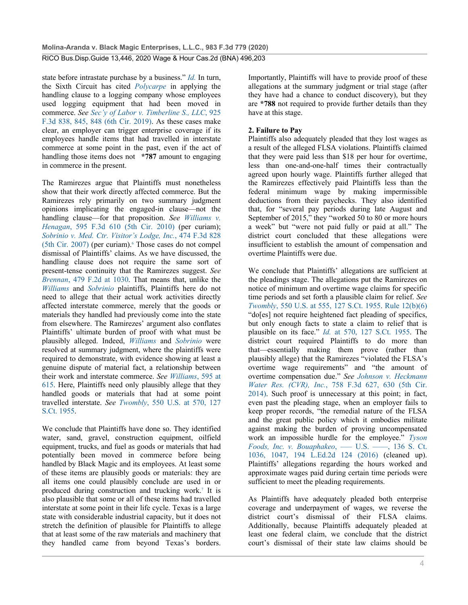state before intrastate purchase by a business." *Id.* In turn, the Sixth Circuit has cited *Polycarpe* in applying the handling clause to a logging company whose employees used logging equipment that had been moved in commerce. *See Sec'y of Labor v. Timberline S., LLC*, 925 F.3d 838, 845, 848 (6th Cir. 2019). As these cases make clear, an employer can trigger enterprise coverage if its employees handle items that had travelled in interstate commerce at some point in the past, even if the act of handling those items does not **\*787** amount to engaging in commerce in the present.

The Ramirezes argue that Plaintiffs must nonetheless show that their work directly affected commerce. But the Ramirezes rely primarily on two summary judgment opinions implicating the engaged-in clause—not the handling clause—for that proposition. *See Williams v. Henagan*, 595 F.3d 610 (5th Cir. 2010) (per curiam); *Sobrinio v. Med. Ctr. Visitor's Lodge, Inc.*, 474 F.3d 828  $(5th$  Cir. 2007) (per curiam).<sup>6</sup> Those cases do not compel dismissal of Plaintiffs' claims. As we have discussed, the handling clause does not require the same sort of present-tense continuity that the Ramirezes suggest. *See Brennan*, 479 F.2d at 1030. That means that, unlike the *Williams* and *Sobrinio* plaintiffs, Plaintiffs here do not need to allege that their actual work activities directly affected interstate commerce, merely that the goods or materials they handled had previously come into the state from elsewhere. The Ramirezes' argument also conflates Plaintiffs' ultimate burden of proof with what must be plausibly alleged. Indeed, *Williams* and *Sobrinio* were resolved at summary judgment, where the plaintiffs were required to demonstrate, with evidence showing at least a genuine dispute of material fact, a relationship between their work and interstate commerce. *See Williams*, 595 at 615. Here, Plaintiffs need only plausibly allege that they handled goods or materials that had at some point travelled interstate. *See Twombly*, 550 U.S. at 570, 127 S.Ct. 1955.

We conclude that Plaintiffs have done so. They identified water, sand, gravel, construction equipment, oilfield equipment, trucks, and fuel as goods or materials that had potentially been moved in commerce before being handled by Black Magic and its employees. At least some of these items are plausibly goods or materials: they are all items one could plausibly conclude are used in or produced during construction and trucking work.7 It is also plausible that some or all of these items had travelled interstate at some point in their life cycle. Texas is a large state with considerable industrial capacity, but it does not stretch the definition of plausible for Plaintiffs to allege that at least some of the raw materials and machinery that they handled came from beyond Texas's borders.

Importantly, Plaintiffs will have to provide proof of these allegations at the summary judgment or trial stage (after they have had a chance to conduct discovery), but they are **\*788** not required to provide further details than they have at this stage.

## **2. Failure to Pay**

Plaintiffs also adequately pleaded that they lost wages as a result of the alleged FLSA violations. Plaintiffs claimed that they were paid less than \$18 per hour for overtime, less than one-and-one-half times their contractually agreed upon hourly wage. Plaintiffs further alleged that the Ramirezes effectively paid Plaintiffs less than the federal minimum wage by making impermissible deductions from their paychecks. They also identified that, for "several pay periods during late August and September of 2015," they "worked 50 to 80 or more hours a week" but "were not paid fully or paid at all." The district court concluded that these allegations were insufficient to establish the amount of compensation and overtime Plaintiffs were due.

We conclude that Plaintiffs' allegations are sufficient at the pleadings stage. The allegations put the Ramirezes on notice of minimum and overtime wage claims for specific time periods and set forth a plausible claim for relief. *See Twombly*, 550 U.S. at 555, 127 S.Ct. 1955. Rule 12(b)(6) "do[es] not require heightened fact pleading of specifics, but only enough facts to state a claim to relief that is plausible on its face." *Id.* at 570, 127 S.Ct. 1955. The district court required Plaintiffs to do more than that—essentially making them prove (rather than plausibly allege) that the Ramirezes "violated the FLSA's overtime wage requirements" and "the amount of overtime compensation due." *See Johnson v. Heckmann Water Res. (CVR), Inc.*, 758 F.3d 627, 630 (5th Cir. 2014). Such proof is unnecessary at this point; in fact, even past the pleading stage, when an employer fails to keep proper records, "the remedial nature of the FLSA and the great public policy which it embodies militate against making the burden of proving uncompensated work an impossible hurdle for the employee." *Tyson Foods, Inc. v. Bouaphakeo*, — U.S. — , 136 S. Ct. 1036, 1047, 194 L.Ed.2d 124 (2016) (cleaned up). Plaintiffs' allegations regarding the hours worked and approximate wages paid during certain time periods were sufficient to meet the pleading requirements.

As Plaintiffs have adequately pleaded both enterprise coverage and underpayment of wages, we reverse the district court's dismissal of their FLSA claims. Additionally, because Plaintiffs adequately pleaded at least one federal claim, we conclude that the district court's dismissal of their state law claims should be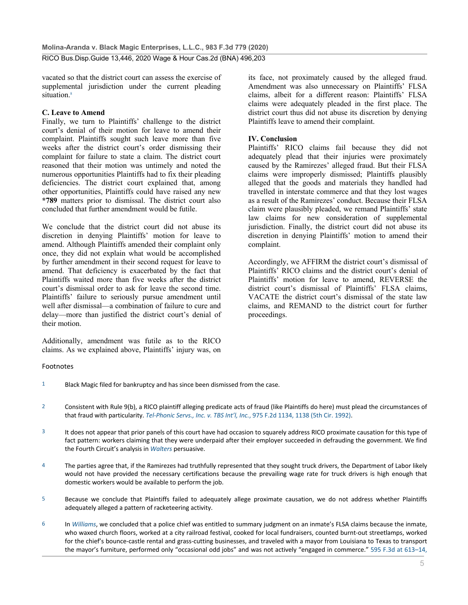RICO Bus.Disp.Guide 13,446, 2020 Wage & Hour Cas.2d (BNA) 496,203

vacated so that the district court can assess the exercise of supplemental jurisdiction under the current pleading situation.<sup>8</sup>

#### **C. Leave to Amend**

Finally, we turn to Plaintiffs' challenge to the district court's denial of their motion for leave to amend their complaint. Plaintiffs sought such leave more than five weeks after the district court's order dismissing their complaint for failure to state a claim. The district court reasoned that their motion was untimely and noted the numerous opportunities Plaintiffs had to fix their pleading deficiencies. The district court explained that, among other opportunities, Plaintiffs could have raised any new **\*789** matters prior to dismissal. The district court also concluded that further amendment would be futile.

We conclude that the district court did not abuse its discretion in denying Plaintiffs' motion for leave to amend. Although Plaintiffs amended their complaint only once, they did not explain what would be accomplished by further amendment in their second request for leave to amend. That deficiency is exacerbated by the fact that Plaintiffs waited more than five weeks after the district court's dismissal order to ask for leave the second time. Plaintiffs' failure to seriously pursue amendment until well after dismissal—a combination of failure to cure and delay—more than justified the district court's denial of their motion.

Additionally, amendment was futile as to the RICO claims. As we explained above, Plaintiffs' injury was, on its face, not proximately caused by the alleged fraud. Amendment was also unnecessary on Plaintiffs' FLSA claims, albeit for a different reason: Plaintiffs' FLSA claims were adequately pleaded in the first place. The district court thus did not abuse its discretion by denying Plaintiffs leave to amend their complaint.

### **IV. Conclusion**

Plaintiffs' RICO claims fail because they did not adequately plead that their injuries were proximately caused by the Ramirezes' alleged fraud. But their FLSA claims were improperly dismissed; Plaintiffs plausibly alleged that the goods and materials they handled had travelled in interstate commerce and that they lost wages as a result of the Ramirezes' conduct. Because their FLSA claim were plausibly pleaded, we remand Plaintiffs' state law claims for new consideration of supplemental jurisdiction. Finally, the district court did not abuse its discretion in denying Plaintiffs' motion to amend their complaint.

Accordingly, we AFFIRM the district court's dismissal of Plaintiffs' RICO claims and the district court's denial of Plaintiffs' motion for leave to amend, REVERSE the district court's dismissal of Plaintiffs' FLSA claims, VACATE the district court's dismissal of the state law claims, and REMAND to the district court for further proceedings.

#### Footnotes

- 1 Black Magic filed for bankruptcy and has since been dismissed from the case.
- 2 Consistent with Rule 9(b), a RICO plaintiff alleging predicate acts of fraud (like Plaintiffs do here) must plead the circumstances of that fraud with particularity. *Tel-Phonic Servs., Inc. v. TBS Int'l, Inc.*, 975 F.2d 1134, 1138 (5th Cir. 1992).
- 3 It does not appear that prior panels of this court have had occasion to squarely address RICO proximate causation for this type of fact pattern: workers claiming that they were underpaid after their employer succeeded in defrauding the government. We find the Fourth Circuit's analysis in *Walters* persuasive.
- 4 The parties agree that, if the Ramirezes had truthfully represented that they sought truck drivers, the Department of Labor likely would not have provided the necessary certifications because the prevailing wage rate for truck drivers is high enough that domestic workers would be available to perform the job.
- 5 Because we conclude that Plaintiffs failed to adequately allege proximate causation, we do not address whether Plaintiffs adequately alleged a pattern of racketeering activity.
- 6 In *Williams*, we concluded that a police chief was entitled to summary judgment on an inmate's FLSA claims because the inmate, who waxed church floors, worked at a city railroad festival, cooked for local fundraisers, counted burnt-out streetlamps, worked for the chief's bounce-castle rental and grass-cutting businesses, and traveled with a mayor from Louisiana to Texas to transport the mayor's furniture, performed only "occasional odd jobs" and was not actively "engaged in commerce." 595 F.3d at 613–14,